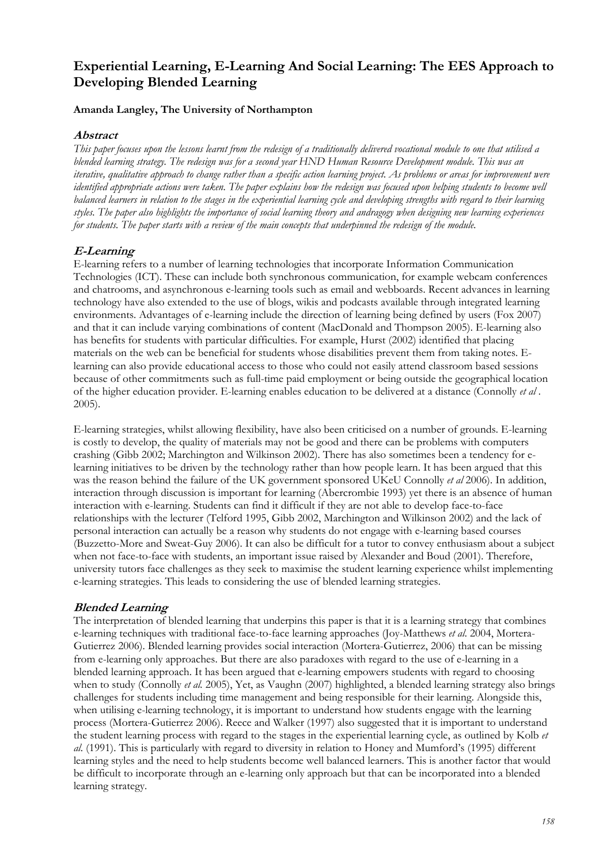# **Experiential Learning, E-Learning And Social Learning: The EES Approach to Developing Blended Learning**

## **Amanda Langley, The University of Northampton**

## **Abstract**

*This paper focuses upon the lessons learnt from the redesign of a traditionally delivered vocational module to one that utilised a blended learning strategy. The redesign was for a second year HND Human Resource Development module. This was an iterative, qualitative approach to change rather than a specific action learning project. As problems or areas for improvement were*  identified appropriate actions were taken. The paper explains how the redesign was focused upon helping students to become well *balanced learners in relation to the stages in the experiential learning cycle and developing strengths with regard to their learning styles. The paper also highlights the importance of social learning theory and andragogy when designing new learning experiences for students. The paper starts with a review of the main concepts that underpinned the redesign of the module.* 

# **E-Learning**

E-learning refers to a number of learning technologies that incorporate Information Communication Technologies (ICT). These can include both synchronous communication, for example webcam conferences and chatrooms, and asynchronous e-learning tools such as email and webboards. Recent advances in learning technology have also extended to the use of blogs, wikis and podcasts available through integrated learning environments. Advantages of e-learning include the direction of learning being defined by users (Fox 2007) and that it can include varying combinations of content (MacDonald and Thompson 2005). E-learning also has benefits for students with particular difficulties. For example, Hurst (2002) identified that placing materials on the web can be beneficial for students whose disabilities prevent them from taking notes. Elearning can also provide educational access to those who could not easily attend classroom based sessions because of other commitments such as full-time paid employment or being outside the geographical location of the higher education provider. E-learning enables education to be delivered at a distance (Connolly *et al* . 2005).

E-learning strategies, whilst allowing flexibility, have also been criticised on a number of grounds. E-learning is costly to develop, the quality of materials may not be good and there can be problems with computers crashing (Gibb 2002; Marchington and Wilkinson 2002). There has also sometimes been a tendency for elearning initiatives to be driven by the technology rather than how people learn. It has been argued that this was the reason behind the failure of the UK government sponsored UKeU Connolly *et al* 2006). In addition, interaction through discussion is important for learning (Abercrombie 1993) yet there is an absence of human interaction with e-learning. Students can find it difficult if they are not able to develop face-to-face relationships with the lecturer (Telford 1995, Gibb 2002, Marchington and Wilkinson 2002) and the lack of personal interaction can actually be a reason why students do not engage with e-learning based courses (Buzzetto-More and Sweat-Guy 2006). It can also be difficult for a tutor to convey enthusiasm about a subject when not face-to-face with students, an important issue raised by Alexander and Boud (2001). Therefore, university tutors face challenges as they seek to maximise the student learning experience whilst implementing e-learning strategies. This leads to considering the use of blended learning strategies.

## **Blended Learning**

The interpretation of blended learning that underpins this paper is that it is a learning strategy that combines e-learning techniques with traditional face-to-face learning approaches (Joy-Matthews *et al*. 2004, Mortera-Gutierrez 2006). Blended learning provides social interaction (Mortera-Gutierrez, 2006) that can be missing from e-learning only approaches. But there are also paradoxes with regard to the use of e-learning in a blended learning approach. It has been argued that e-learning empowers students with regard to choosing when to study (Connolly *et al.* 2005), Yet, as Vaughn (2007) highlighted, a blended learning strategy also brings challenges for students including time management and being responsible for their learning. Alongside this, when utilising e-learning technology, it is important to understand how students engage with the learning process (Mortera-Gutierrez 2006). Reece and Walker (1997) also suggested that it is important to understand the student learning process with regard to the stages in the experiential learning cycle, as outlined by Kolb *et al*. (1991). This is particularly with regard to diversity in relation to Honey and Mumford's (1995) different learning styles and the need to help students become well balanced learners. This is another factor that would be difficult to incorporate through an e-learning only approach but that can be incorporated into a blended learning strategy.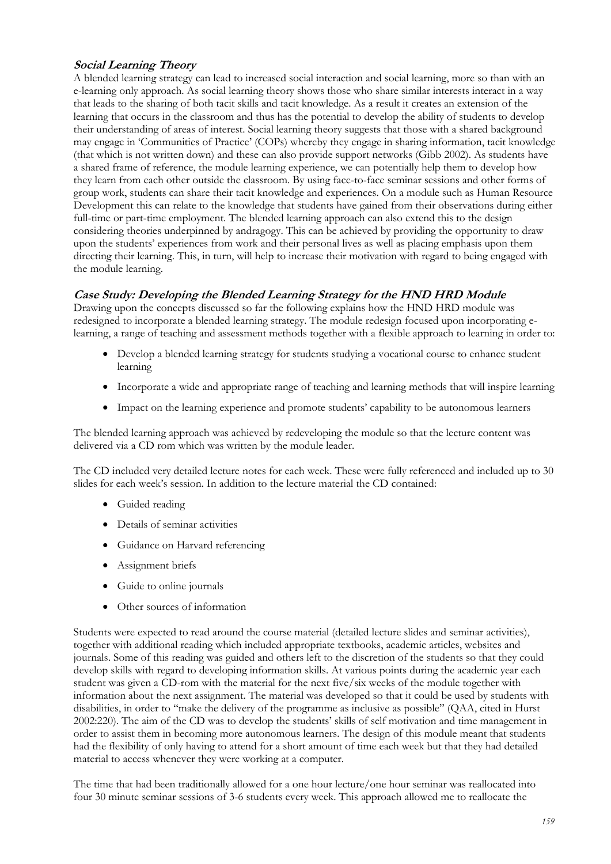# **Social Learning Theory**

A blended learning strategy can lead to increased social interaction and social learning, more so than with an e-learning only approach. As social learning theory shows those who share similar interests interact in a way that leads to the sharing of both tacit skills and tacit knowledge. As a result it creates an extension of the learning that occurs in the classroom and thus has the potential to develop the ability of students to develop their understanding of areas of interest. Social learning theory suggests that those with a shared background may engage in 'Communities of Practice' (COPs) whereby they engage in sharing information, tacit knowledge (that which is not written down) and these can also provide support networks (Gibb 2002). As students have a shared frame of reference, the module learning experience, we can potentially help them to develop how they learn from each other outside the classroom. By using face-to-face seminar sessions and other forms of group work, students can share their tacit knowledge and experiences. On a module such as Human Resource Development this can relate to the knowledge that students have gained from their observations during either full-time or part-time employment. The blended learning approach can also extend this to the design considering theories underpinned by andragogy. This can be achieved by providing the opportunity to draw upon the students' experiences from work and their personal lives as well as placing emphasis upon them directing their learning. This, in turn, will help to increase their motivation with regard to being engaged with the module learning.

# **Case Study: Developing the Blended Learning Strategy for the HND HRD Module**

Drawing upon the concepts discussed so far the following explains how the HND HRD module was redesigned to incorporate a blended learning strategy. The module redesign focused upon incorporating elearning, a range of teaching and assessment methods together with a flexible approach to learning in order to:

- Develop a blended learning strategy for students studying a vocational course to enhance student learning
- Incorporate a wide and appropriate range of teaching and learning methods that will inspire learning
- Impact on the learning experience and promote students' capability to be autonomous learners

The blended learning approach was achieved by redeveloping the module so that the lecture content was delivered via a CD rom which was written by the module leader.

The CD included very detailed lecture notes for each week. These were fully referenced and included up to 30 slides for each week's session. In addition to the lecture material the CD contained:

- Guided reading
- Details of seminar activities
- Guidance on Harvard referencing
- Assignment briefs
- Guide to online journals
- Other sources of information

Students were expected to read around the course material (detailed lecture slides and seminar activities), together with additional reading which included appropriate textbooks, academic articles, websites and journals. Some of this reading was guided and others left to the discretion of the students so that they could develop skills with regard to developing information skills. At various points during the academic year each student was given a CD-rom with the material for the next five/six weeks of the module together with information about the next assignment. The material was developed so that it could be used by students with disabilities, in order to "make the delivery of the programme as inclusive as possible" (QAA, cited in Hurst 2002:220). The aim of the CD was to develop the students' skills of self motivation and time management in order to assist them in becoming more autonomous learners. The design of this module meant that students had the flexibility of only having to attend for a short amount of time each week but that they had detailed material to access whenever they were working at a computer.

The time that had been traditionally allowed for a one hour lecture/one hour seminar was reallocated into four 30 minute seminar sessions of 3-6 students every week. This approach allowed me to reallocate the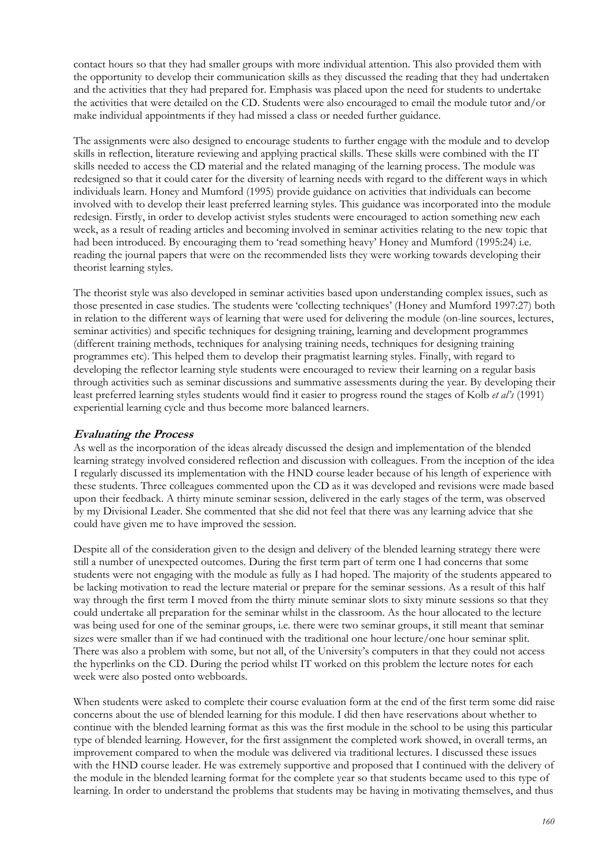contact hours so that they had smaller groups with more individual attention. This also provided them with the opportunity to develop their communication skills as they discussed the reading that they had undertaken and the activities that they had prepared for. Emphasis was placed upon the need for students to undertake the activities that were detailed on the CD. Students were also encouraged to email the module tutor and/or make individual appointments if they had missed a class or needed further guidance.

The assignments were also designed to encourage students to further engage with the module and to develop skills in reflection, literature reviewing and applying practical skills. These skills were combined with the IT skills needed to access the CD material and the related managing of the learning process. The module was redesigned so that it could cater for the diversity of learning needs with regard to the different ways in which individuals learn. Honey and Mumford (1995) provide guidance on activities that individuals can become involved with to develop their least preferred learning styles. This guidance was incorporated into the module redesign. Firstly, in order to develop activist styles students were encouraged to action something new each week, as a result of reading articles and becoming involved in seminar activities relating to the new topic that had been introduced. By encouraging them to 'read something heavy' Honey and Mumford (1995:24) i.e. reading the journal papers that were on the recommended lists they were working towards developing their theorist learning styles.

The theorist style was also developed in seminar activities based upon understanding complex issues, such as those presented in case studies. The students were 'collecting techniques' (Honey and Mumford 1997:27) both in relation to the different ways of learning that were used for delivering the module (on-line sources, lectures, seminar activities) and specific techniques for designing training, learning and development programmes (different training methods, techniques for analysing training needs, techniques for designing training programmes etc). This helped them to develop their pragmatist learning styles. Finally, with regard to developing the reflector learning style students were encouraged to review their learning on a regular basis through activities such as seminar discussions and summative assessments during the year. By developing their least preferred learning styles students would find it easier to progress round the stages of Kolb *et al's* (1991) experiential learning cycle and thus become more balanced learners.

#### **Evaluating the Process**

As well as the incorporation of the ideas already discussed the design and implementation of the blended learning strategy involved considered reflection and discussion with colleagues. From the inception of the idea I regularly discussed its implementation with the HND course leader because of his length of experience with these students. Three colleagues commented upon the CD as it was developed and revisions were made based upon their feedback. A thirty minute seminar session, delivered in the early stages of the term, was observed by my Divisional Leader. She commented that she did not feel that there was any learning advice that she could have given me to have improved the session.

Despite all of the consideration given to the design and delivery of the blended learning strategy there were still a number of unexpected outcomes. During the first term part of term one I had concerns that some students were not engaging with the module as fully as I had hoped. The majority of the students appeared to be lacking motivation to read the lecture material or prepare for the seminar sessions. As a result of this half way through the first term I moved from the thirty minute seminar slots to sixty minute sessions so that they could undertake all preparation for the seminar whilst in the classroom. As the hour allocated to the lecture was being used for one of the seminar groups, i.e. there were two seminar groups, it still meant that seminar sizes were smaller than if we had continued with the traditional one hour lecture/one hour seminar split. There was also a problem with some, but not all, of the University's computers in that they could not access the hyperlinks on the CD. During the period whilst IT worked on this problem the lecture notes for each week were also posted onto webboards.

When students were asked to complete their course evaluation form at the end of the first term some did raise concerns about the use of blended learning for this module. I did then have reservations about whether to continue with the blended learning format as this was the first module in the school to be using this particular type of blended learning. However, for the first assignment the completed work showed, in overall terms, an improvement compared to when the module was delivered via traditional lectures. I discussed these issues with the HND course leader. He was extremely supportive and proposed that I continued with the delivery of the module in the blended learning format for the complete year so that students became used to this type of learning. In order to understand the problems that students may be having in motivating themselves, and thus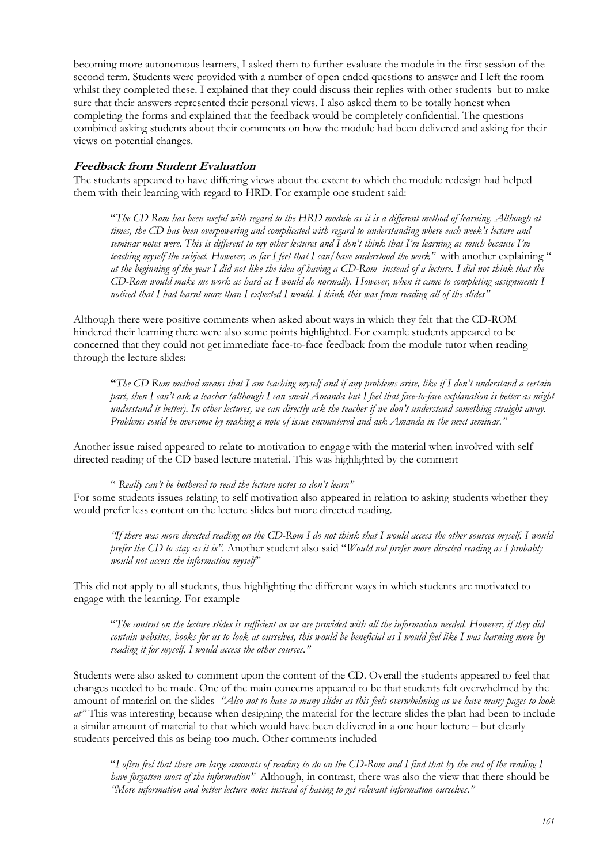becoming more autonomous learners, I asked them to further evaluate the module in the first session of the second term. Students were provided with a number of open ended questions to answer and I left the room whilst they completed these. I explained that they could discuss their replies with other students but to make sure that their answers represented their personal views. I also asked them to be totally honest when completing the forms and explained that the feedback would be completely confidential. The questions combined asking students about their comments on how the module had been delivered and asking for their views on potential changes.

#### **Feedback from Student Evaluation**

The students appeared to have differing views about the extent to which the module redesign had helped them with their learning with regard to HRD. For example one student said:

"*The CD Rom has been useful with regard to the HRD module as it is a different method of learning. Although at times, the CD has been overpowering and complicated with regard to understanding where each week's lecture and seminar notes were. This is different to my other lectures and I don't think that I'm learning as much because I'm teaching myself the subject. However, so far I feel that I can/have understood the work"* with another explaining " *at the beginning of the year I did not like the idea of having a CD-Rom instead of a lecture. I did not think that the CD-Rom would make me work as hard as I would do normally. However, when it came to completing assignments I noticed that I had learnt more than I expected I would. I think this was from reading all of the slides"* 

Although there were positive comments when asked about ways in which they felt that the CD-ROM hindered their learning there were also some points highlighted. For example students appeared to be concerned that they could not get immediate face-to-face feedback from the module tutor when reading through the lecture slides:

**"***The CD Rom method means that I am teaching myself and if any problems arise, like if I don't understand a certain part, then I can't ask a teacher (although I can email Amanda but I feel that face-to-face explanation is better as might understand it better). In other lectures, we can directly ask the teacher if we don't understand something straight away. Problems could be overcome by making a note of issue encountered and ask Amanda in the next seminar."* 

Another issue raised appeared to relate to motivation to engage with the material when involved with self directed reading of the CD based lecture material. This was highlighted by the comment

" *Really can't be bothered to read the lecture notes so don't learn"* For some students issues relating to self motivation also appeared in relation to asking students whether they would prefer less content on the lecture slides but more directed reading.

*"If there was more directed reading on the CD-Rom I do not think that I would access the other sources myself. I would prefer the CD to stay as it is".* Another student also said "*Would not prefer more directed reading as I probably would not access the information myself"* 

This did not apply to all students, thus highlighting the different ways in which students are motivated to engage with the learning. For example

"*The content on the lecture slides is sufficient as we are provided with all the information needed. However, if they did contain websites, books for us to look at ourselves, this would be beneficial as I would feel like I was learning more by reading it for myself. I would access the other sources."* 

Students were also asked to comment upon the content of the CD. Overall the students appeared to feel that changes needed to be made. One of the main concerns appeared to be that students felt overwhelmed by the amount of material on the slides *"Also not to have so many slides as this feels overwhelming as we have many pages to look at"* This was interesting because when designing the material for the lecture slides the plan had been to include a similar amount of material to that which would have been delivered in a one hour lecture – but clearly students perceived this as being too much. Other comments included

"*I often feel that there are large amounts of reading to do on the CD-Rom and I find that by the end of the reading I have forgotten most of the information"* Although, in contrast, there was also the view that there should be *"More information and better lecture notes instead of having to get relevant information ourselves."*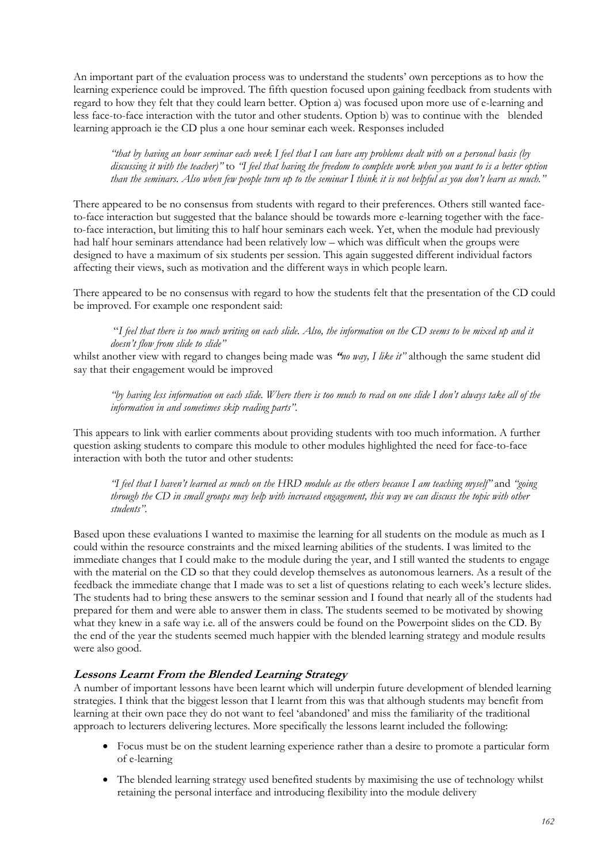An important part of the evaluation process was to understand the students' own perceptions as to how the learning experience could be improved. The fifth question focused upon gaining feedback from students with regard to how they felt that they could learn better. Option a) was focused upon more use of e-learning and less face-to-face interaction with the tutor and other students. Option b) was to continue with the blended learning approach ie the CD plus a one hour seminar each week. Responses included

*"that by having an hour seminar each week I feel that I can have any problems dealt with on a personal basis (by discussing it with the teacher)"* to *"I feel that having the freedom to complete work when you want to is a better option than the seminars. Also when few people turn up to the seminar I think it is not helpful as you don't learn as much."* 

There appeared to be no consensus from students with regard to their preferences. Others still wanted faceto-face interaction but suggested that the balance should be towards more e-learning together with the faceto-face interaction, but limiting this to half hour seminars each week. Yet, when the module had previously had half hour seminars attendance had been relatively low – which was difficult when the groups were designed to have a maximum of six students per session. This again suggested different individual factors affecting their views, such as motivation and the different ways in which people learn.

There appeared to be no consensus with regard to how the students felt that the presentation of the CD could be improved. For example one respondent said:

"*I feel that there is too much writing on each slide. Also, the information on the CD seems to be mixed up and it doesn't flow from slide to slide"*

whilst another view with regard to changes being made was **"***no way, I like it"* although the same student did say that their engagement would be improved

*"by having less information on each slide. Where there is too much to read on one slide I don't always take all of the information in and sometimes skip reading parts".*

This appears to link with earlier comments about providing students with too much information. A further question asking students to compare this module to other modules highlighted the need for face-to-face interaction with both the tutor and other students:

*"I feel that I haven't learned as much on the HRD module as the others because I am teaching myself"* and *"going through the CD in small groups may help with increased engagement, this way we can discuss the topic with other students".*

Based upon these evaluations I wanted to maximise the learning for all students on the module as much as I could within the resource constraints and the mixed learning abilities of the students. I was limited to the immediate changes that I could make to the module during the year, and I still wanted the students to engage with the material on the CD so that they could develop themselves as autonomous learners. As a result of the feedback the immediate change that I made was to set a list of questions relating to each week's lecture slides. The students had to bring these answers to the seminar session and I found that nearly all of the students had prepared for them and were able to answer them in class. The students seemed to be motivated by showing what they knew in a safe way i.e. all of the answers could be found on the Powerpoint slides on the CD. By the end of the year the students seemed much happier with the blended learning strategy and module results were also good.

## **Lessons Learnt From the Blended Learning Strategy**

A number of important lessons have been learnt which will underpin future development of blended learning strategies. I think that the biggest lesson that I learnt from this was that although students may benefit from learning at their own pace they do not want to feel 'abandoned' and miss the familiarity of the traditional approach to lecturers delivering lectures. More specifically the lessons learnt included the following:

- Focus must be on the student learning experience rather than a desire to promote a particular form of e-learning
- The blended learning strategy used benefited students by maximising the use of technology whilst retaining the personal interface and introducing flexibility into the module delivery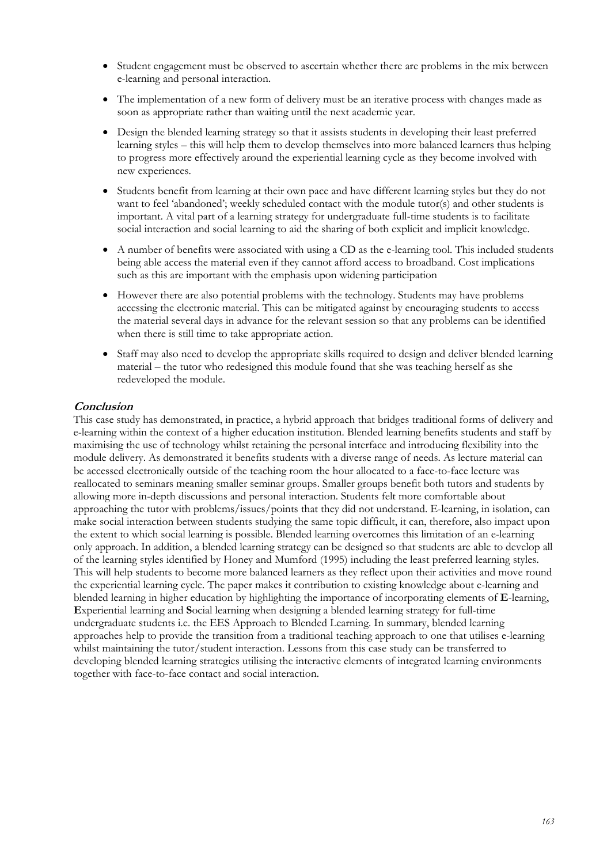- Student engagement must be observed to ascertain whether there are problems in the mix between e-learning and personal interaction.
- The implementation of a new form of delivery must be an iterative process with changes made as soon as appropriate rather than waiting until the next academic year.
- Design the blended learning strategy so that it assists students in developing their least preferred learning styles – this will help them to develop themselves into more balanced learners thus helping to progress more effectively around the experiential learning cycle as they become involved with new experiences.
- Students benefit from learning at their own pace and have different learning styles but they do not want to feel 'abandoned'; weekly scheduled contact with the module tutor(s) and other students is important. A vital part of a learning strategy for undergraduate full-time students is to facilitate social interaction and social learning to aid the sharing of both explicit and implicit knowledge.
- A number of benefits were associated with using a CD as the e-learning tool. This included students being able access the material even if they cannot afford access to broadband. Cost implications such as this are important with the emphasis upon widening participation
- However there are also potential problems with the technology. Students may have problems accessing the electronic material. This can be mitigated against by encouraging students to access the material several days in advance for the relevant session so that any problems can be identified when there is still time to take appropriate action.
- Staff may also need to develop the appropriate skills required to design and deliver blended learning material – the tutor who redesigned this module found that she was teaching herself as she redeveloped the module.

# **Conclusion**

This case study has demonstrated, in practice, a hybrid approach that bridges traditional forms of delivery and e-learning within the context of a higher education institution. Blended learning benefits students and staff by maximising the use of technology whilst retaining the personal interface and introducing flexibility into the module delivery. As demonstrated it benefits students with a diverse range of needs. As lecture material can be accessed electronically outside of the teaching room the hour allocated to a face-to-face lecture was reallocated to seminars meaning smaller seminar groups. Smaller groups benefit both tutors and students by allowing more in-depth discussions and personal interaction. Students felt more comfortable about approaching the tutor with problems/issues/points that they did not understand. E-learning, in isolation, can make social interaction between students studying the same topic difficult, it can, therefore, also impact upon the extent to which social learning is possible. Blended learning overcomes this limitation of an e-learning only approach. In addition, a blended learning strategy can be designed so that students are able to develop all of the learning styles identified by Honey and Mumford (1995) including the least preferred learning styles. This will help students to become more balanced learners as they reflect upon their activities and move round the experiential learning cycle. The paper makes it contribution to existing knowledge about e-learning and blended learning in higher education by highlighting the importance of incorporating elements of **E**-learning, **E**xperiential learning and **S**ocial learning when designing a blended learning strategy for full-time undergraduate students i.e. the EES Approach to Blended Learning. In summary, blended learning approaches help to provide the transition from a traditional teaching approach to one that utilises e-learning whilst maintaining the tutor/student interaction. Lessons from this case study can be transferred to developing blended learning strategies utilising the interactive elements of integrated learning environments together with face-to-face contact and social interaction.